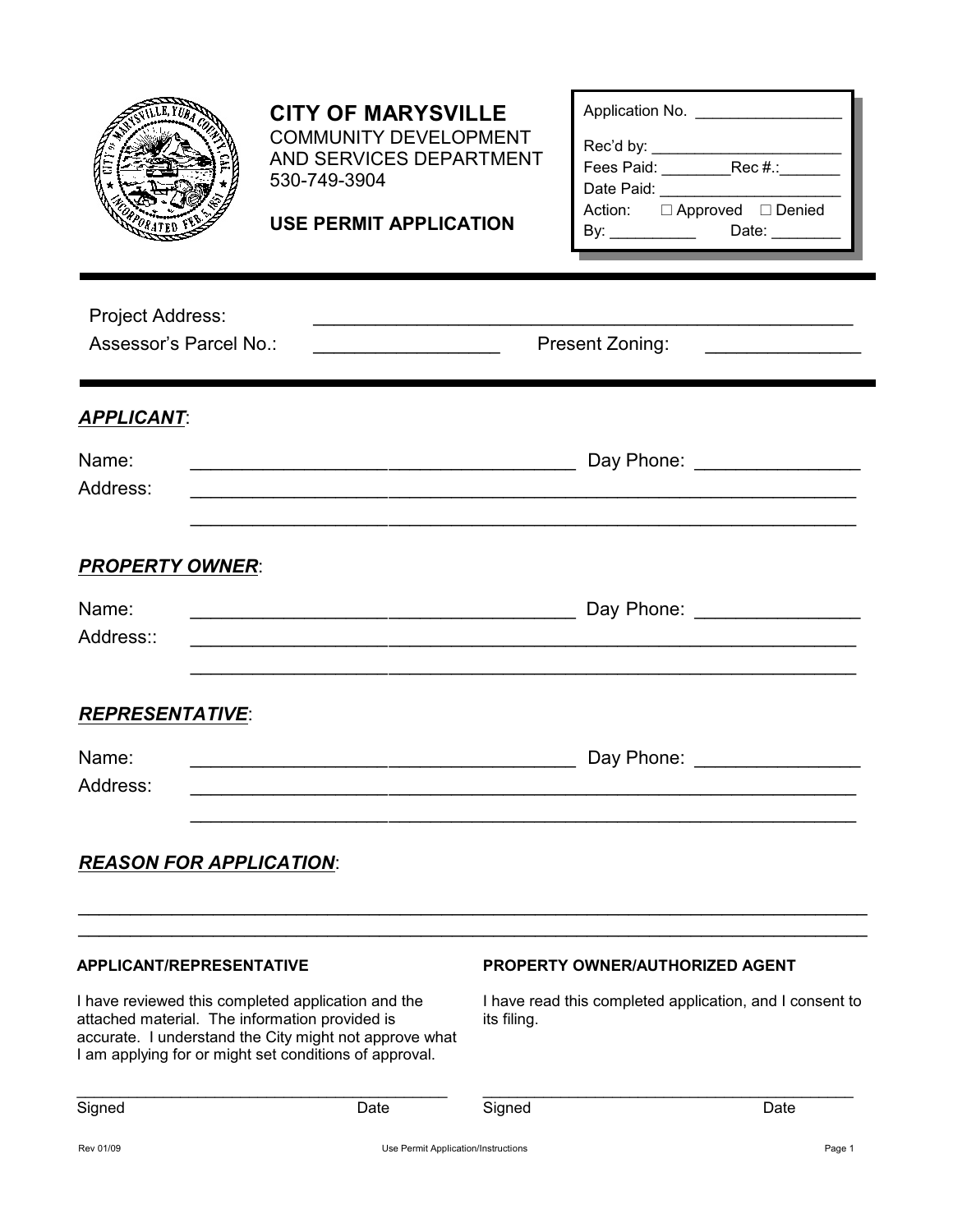|                                                                                                                                                                                                                                                             | <b>CITY OF MARYSVILLE</b><br><b>COMMUNITY DEVELOPMENT</b><br>AND SERVICES DEPARTMENT<br>530-749-3904<br><b>USE PERMIT APPLICATION</b> |                                                                                                                   | Application No. ____________________<br>Date Paid:<br>Action: □ Approved □ Denied<br>By: ________________________Date: ______________ |
|-------------------------------------------------------------------------------------------------------------------------------------------------------------------------------------------------------------------------------------------------------------|---------------------------------------------------------------------------------------------------------------------------------------|-------------------------------------------------------------------------------------------------------------------|---------------------------------------------------------------------------------------------------------------------------------------|
| <b>Project Address:</b><br>Assessor's Parcel No.:                                                                                                                                                                                                           |                                                                                                                                       |                                                                                                                   | Present Zoning:                                                                                                                       |
| <b>APPLICANT:</b><br>Name:<br>Address:                                                                                                                                                                                                                      |                                                                                                                                       |                                                                                                                   | Day Phone: __________________                                                                                                         |
| <b>PROPERTY OWNER:</b><br>Name:<br>Address::                                                                                                                                                                                                                |                                                                                                                                       |                                                                                                                   | <u> 1989 - Johann Barn, mars an t-Amerikaansk politiker (* 1958)</u>                                                                  |
| <b>REPRESENTATIVE:</b><br>Name:<br>Address:                                                                                                                                                                                                                 |                                                                                                                                       |                                                                                                                   | Day Phone:                                                                                                                            |
| <b>REASON FOR APPLICATION:</b>                                                                                                                                                                                                                              |                                                                                                                                       |                                                                                                                   |                                                                                                                                       |
| <b>APPLICANT/REPRESENTATIVE</b><br>I have reviewed this completed application and the<br>attached material. The information provided is<br>accurate. I understand the City might not approve what<br>I am applying for or might set conditions of approval. |                                                                                                                                       | <b>PROPERTY OWNER/AUTHORIZED AGENT</b><br>I have read this completed application, and I consent to<br>its filing. |                                                                                                                                       |

\_\_\_\_\_\_\_\_\_\_\_\_\_\_\_\_\_\_\_\_\_\_\_\_\_\_\_\_\_\_\_\_\_\_\_\_\_\_\_\_\_\_\_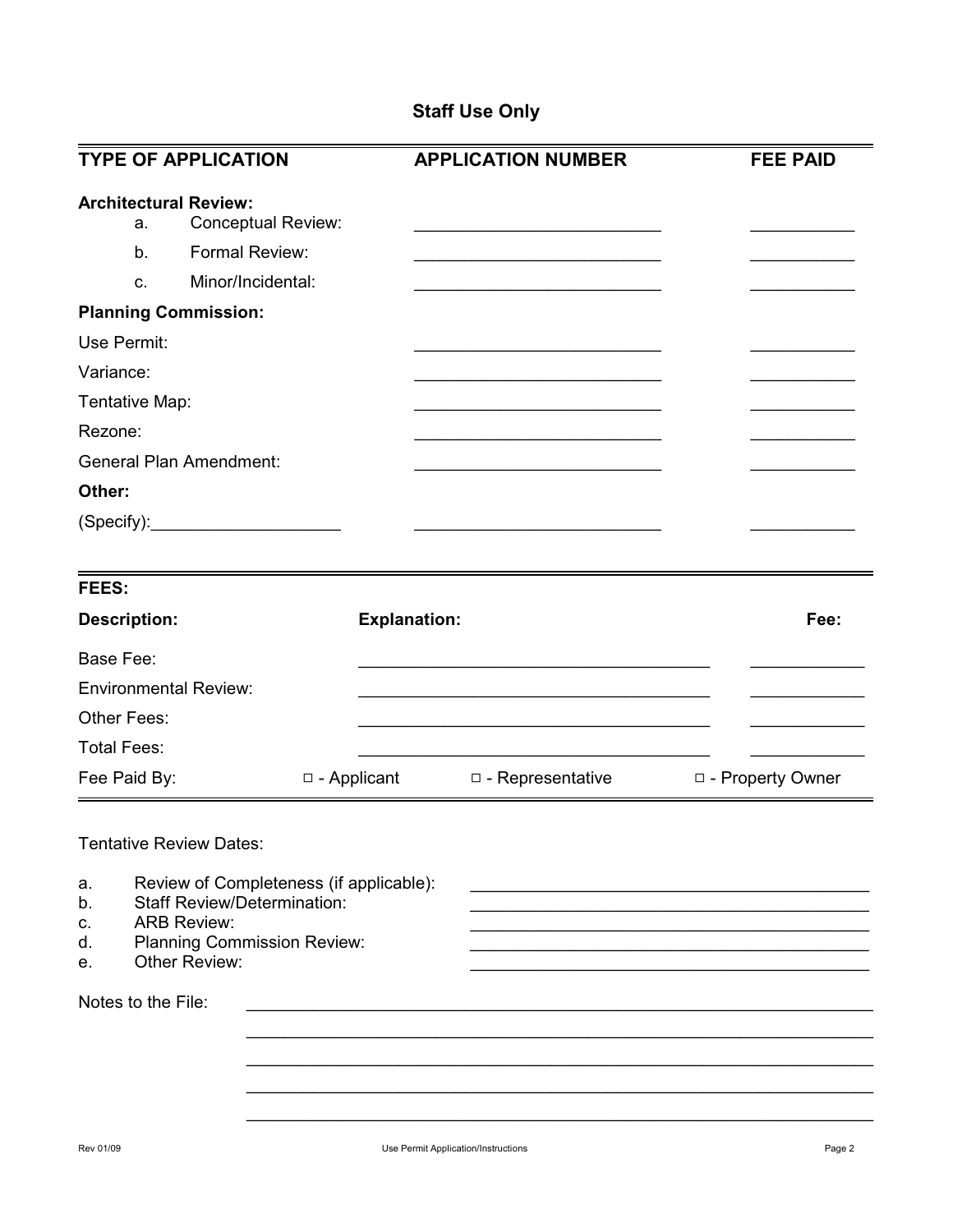## **Staff Use Only**

| <b>TYPE OF APPLICATION</b>                                                                                                                                                               |                     | <b>APPLICATION NUMBER</b> | <b>FEE PAID</b>    |
|------------------------------------------------------------------------------------------------------------------------------------------------------------------------------------------|---------------------|---------------------------|--------------------|
| <b>Architectural Review:</b><br><b>Conceptual Review:</b><br>a.<br>Formal Review:<br>b.<br>Minor/Incidental:<br>C.                                                                       |                     |                           |                    |
| <b>Planning Commission:</b><br>Use Permit:                                                                                                                                               |                     |                           |                    |
| Variance:                                                                                                                                                                                |                     |                           |                    |
| Tentative Map:                                                                                                                                                                           |                     |                           |                    |
| Rezone:                                                                                                                                                                                  |                     |                           |                    |
| <b>General Plan Amendment:</b>                                                                                                                                                           |                     |                           |                    |
| Other:                                                                                                                                                                                   |                     |                           |                    |
| (Specify): <u>contract and contract and contract of</u>                                                                                                                                  |                     |                           |                    |
| FEES:                                                                                                                                                                                    |                     |                           |                    |
| <b>Description:</b>                                                                                                                                                                      | <b>Explanation:</b> |                           | Fee:               |
| <b>Base Fee:</b>                                                                                                                                                                         |                     |                           |                    |
| <b>Environmental Review:</b>                                                                                                                                                             |                     |                           |                    |
| Other Fees:                                                                                                                                                                              |                     |                           |                    |
| <b>Total Fees:</b>                                                                                                                                                                       |                     |                           |                    |
| Fee Paid By:                                                                                                                                                                             | $\Box$ - Applicant  | □ - Representative        | □ - Property Owner |
| <b>Tentative Review Dates:</b>                                                                                                                                                           |                     |                           |                    |
| Review of Completeness (if applicable):<br>a.<br><b>Staff Review/Determination:</b><br>b.<br><b>ARB Review:</b><br>с.<br><b>Planning Commission Review:</b><br>d.<br>Other Review:<br>е. |                     |                           |                    |
| Notes to the File:                                                                                                                                                                       |                     |                           |                    |
|                                                                                                                                                                                          |                     |                           |                    |
|                                                                                                                                                                                          |                     |                           |                    |
|                                                                                                                                                                                          |                     |                           |                    |